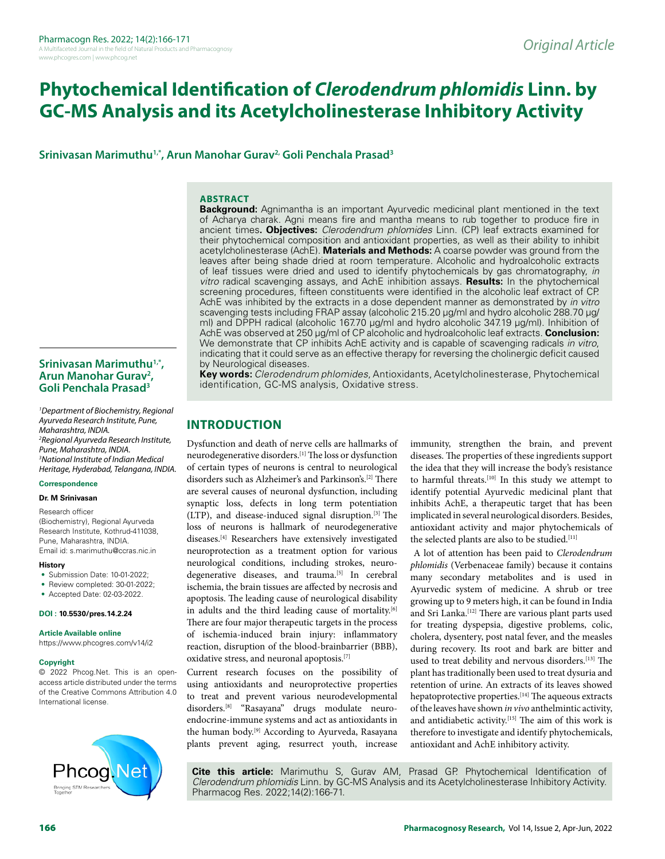# **Phytochemical Identification of** *Clerodendrum phlomidis* **Linn. by GC-MS Analysis and its Acetylcholinesterase Inhibitory Activity**

Srinivasan Marimuthu<sup>1,\*</sup>, Arun Manohar Gurav<sup>2,</sup> Goli Penchala Prasad<sup>3</sup>

#### **ABSTRACT**

**Background:** Agnimantha is an important Ayurvedic medicinal plant mentioned in the text of Acharya charak. Agni means fire and mantha means to rub together to produce fire in ancient times**. Objectives:** *Clerodendrum phlomides* Linn. (CP) leaf extracts examined for their phytochemical composition and antioxidant properties, as well as their ability to inhibit acetylcholinesterase (AchE). **Materials and Methods:** A coarse powder was ground from the leaves after being shade dried at room temperature. Alcoholic and hydroalcoholic extracts of leaf tissues were dried and used to identify phytochemicals by gas chromatography, *in vitro* radical scavenging assays, and AchE inhibition assays. **Results:** In the phytochemical screening procedures, fifteen constituents were identified in the alcoholic leaf extract of CP. AchE was inhibited by the extracts in a dose dependent manner as demonstrated by *in vitro* scavenging tests including FRAP assay (alcoholic 215.20 µg/ml and hydro alcoholic 288.70 µg/ ml) and DPPH radical (alcoholic 167.70 μg/ml and hydro alcoholic 347.19 μg/ml). Inhibition of AchE was observed at 250 µg/ml of CP alcoholic and hydroalcoholic leaf extracts. **Conclusion:** We demonstrate that CP inhibits AchE activity and is capable of scavenging radicals *in vitro*, indicating that it could serve as an effective therapy for reversing the cholinergic deficit caused by Neurological diseases.

**Key words:** *Clerodendrum phlomides*, Antioxidants, Acetylcholinesterase, Phytochemical identification, GC-MS analysis, Oxidative stress.

# **INTRODUCTION**

Dysfunction and death of nerve cells are hallmarks of neurodegenerative disorders.<sup>[1]</sup> The loss or dysfunction of certain types of neurons is central to neurological disorders such as Alzheimer's and Parkinson's.[2] There are several causes of neuronal dysfunction, including synaptic loss, defects in long term potentiation (LTP), and disease-induced signal disruption.[3] The loss of neurons is hallmark of neurodegenerative diseases.[4] Researchers have extensively investigated neuroprotection as a treatment option for various neurological conditions, including strokes, neurodegenerative diseases, and trauma.<sup>[5]</sup> In cerebral ischemia, the brain tissues are affected by necrosis and apoptosis. The leading cause of neurological disability in adults and the third leading cause of mortality.<sup>[6]</sup> There are four major therapeutic targets in the process of ischemia-induced brain injury: inflammatory reaction, disruption of the blood-brainbarrier (BBB), oxidative stress, and neuronal apoptosis.[7]

Current research focuses on the possibility of using antioxidants and neuroprotective properties to treat and prevent various neurodevelopmental disorders.[8] "Rasayana" drugs modulate neuroendocrine-immune systems and act as antioxidants in the human body.<sup>[9]</sup> According to Ayurveda, Rasayana plants prevent aging, resurrect youth, increase immunity, strengthen the brain, and prevent diseases. The properties of these ingredients support the idea that they will increase the body's resistance to harmful threats.<sup>[10]</sup> In this study we attempt to identify potential Ayurvedic medicinal plant that inhibits AchE, a therapeutic target that has been implicated in several neurological disorders. Besides, antioxidant activity and major phytochemicals of the selected plants are also to be studied.<sup>[11]</sup>

 A lot of attention has been paid to *Clerodendrum phlomidis* (Verbenaceae family) because it contains many secondary metabolites and is used in Ayurvedic system of medicine. A shrub or tree growing up to 9 meters high, it can be found in India and Sri Lanka.[12] There are various plant parts used for treating dyspepsia, digestive problems, colic, cholera, dysentery, post natal fever, and the measles during recovery. Its root and bark are bitter and used to treat debility and nervous disorders.[13] The plant has traditionally been used to treat dysuria and retention of urine. An extracts of its leaves showed hepatoprotective properties.<sup>[14]</sup> The aqueous extracts of the leaves have shown *in vivo* anthelmintic activity, and antidiabetic activity.[15] The aim of this work is therefore to investigate and identify phytochemicals, antioxidant and AchE inhibitory activity.

**Cite this article:** Marimuthu S, Gurav AM, Prasad GP. Phytochemical Identification of *Clerodendrum phlomidis* Linn. by GC-MS Analysis and its Acetylcholinesterase Inhibitory Activity. Pharmacog Res. 2022;14(2):166-71.

# **Srinivasan Marimuthu1,\*, Arun Manohar Gurav2 , Goli Penchala Prasad3**

*1 Department of Biochemistry, Regional Ayurveda Research Institute, Pune, Maharashtra, INDIA. 2 Regional Ayurveda Research Institute, Pune, Maharashtra, INDIA. 3 National Institute of Indian Medical Heritage, Hyderabad, Telangana, INDIA.*

# **Correspondence**

**Dr. M Srinivasan**

Research officer (Biochemistry), Regional Ayurveda Research Institute, Kothrud-411038, Pune, Maharashtra, INDIA. Email id: s.marimuthu@ccras.nic.in

#### **History**

- Submission Date: 10-01-2022;
- Review completed: 30-01-2022;
- Accepted Date: 02-03-2022.

#### **DOI : 10.5530/pres.14.2.24**

**Article Available online** 

https://www.phcogres.com/v14/i2

#### **Copyright**

© 2022 Phcog.Net. This is an openaccess article distributed under the terms of the Creative Commons Attribution 4.0 International license.

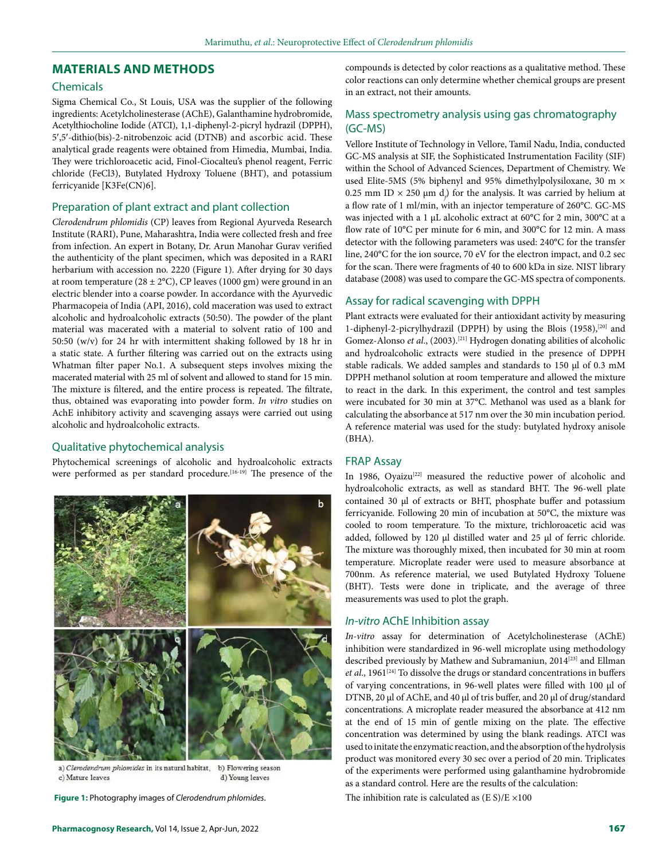# **MATERIALS AND METHODS**

# Chemicals

Sigma Chemical Co., St Louis, USA was the supplier of the following ingredients: Acetylcholinesterase (AChE), Galanthamine hydrobromide, Acetylthiocholine Iodide (ATCI), 1,1-diphenyl-2-picryl hydrazil (DPPH), 5′,5′-dithio(bis)-2-nitrobenzoic acid (DTNB) and ascorbic acid. These analytical grade reagents were obtained from Himedia, Mumbai, India. They were trichloroacetic acid, Finol-Ciocalteu's phenol reagent, Ferric chloride (FeCl3), Butylated Hydroxy Toluene (BHT), and potassium ferricyanide [K3Fe(CN)6].

# Preparation of plant extract and plant collection

*Clerodendrum phlomidis* (CP) leaves from Regional Ayurveda Research Institute (RARI), Pune, Maharashtra, India were collected fresh and free from infection. An expert in Botany, Dr. Arun Manohar Gurav verified the authenticity of the plant specimen, which was deposited in a RARI herbarium with accession no. 2220 (Figure 1). After drying for 30 days at room temperature (28  $\pm$  2°C), CP leaves (1000 gm) were ground in an electric blender into a coarse powder. In accordance with the Ayurvedic Pharmacopeia of India (API, 2016), cold maceration was used to extract alcoholic and hydroalcoholic extracts (50:50). The powder of the plant material was macerated with a material to solvent ratio of 100 and 50:50 (w/v) for 24 hr with intermittent shaking followed by 18 hr in a static state. A further filtering was carried out on the extracts using Whatman filter paper No.1. A subsequent steps involves mixing the macerated material with 25 ml of solvent and allowed to stand for 15 min. The mixture is filtered, and the entire process is repeated. The filtrate, thus, obtained was evaporating into powder form. *In vitro* studies on AchE inhibitory activity and scavenging assays were carried out using alcoholic and hydroalcoholic extracts.

# Qualitative phytochemical analysis

Phytochemical screenings of alcoholic and hydroalcoholic extracts were performed as per standard procedure.<sup>[16-19]</sup> The presence of the



a) Clerodendrum phlomides in its natural habitat, b) Flowering season c) Mature leaves d) Young leaves

**Figure 1:** Photography images of *Clerodendrum phlomides*. The inhibition rate is calculated as (E S)/E ×100

compounds is detected by color reactions as a qualitative method. These color reactions can only determine whether chemical groups are present in an extract, not their amounts.

# Mass spectrometry analysis using gas chromatography (GC-MS)

Vellore Institute of Technology in Vellore, Tamil Nadu, India, conducted GC-MS analysis at SIF, the Sophisticated Instrumentation Facility (SIF) within the School of Advanced Sciences, Department of Chemistry. We used Elite-5MS (5% biphenyl and 95% dimethylpolysiloxane, 30 m × 0.25 mm ID  $\times$  250  $\mu$ m d $_{\rho}$ ) for the analysis. It was carried by helium at a flow rate of 1 ml/min, with an injector temperature of 260°C. GC-MS was injected with a 1 µL alcoholic extract at 60°C for 2 min, 300°C at a flow rate of 10°C per minute for 6 min, and 300°C for 12 min. A mass detector with the following parameters was used: 240°C for the transfer line, 240°C for the ion source, 70 eV for the electron impact, and 0.2 sec for the scan. There were fragments of 40 to 600 kDa in size. NIST library database (2008) was used to compare the GC-MS spectra of components.

# Assay for radical scavenging with DPPH

Plant extracts were evaluated for their antioxidant activity by measuring 1-diphenyl-2-picrylhydrazil (DPPH) by using the Blois (1958),<sup>[20]</sup> and Gomez-Alonso et al., (2003).<sup>[21]</sup> Hydrogen donating abilities of alcoholic and hydroalcoholic extracts were studied in the presence of DPPH stable radicals. We added samples and standards to 150 µl of 0.3 mM DPPH methanol solution at room temperature and allowed the mixture to react in the dark. In this experiment, the control and test samples were incubated for 30 min at 37°C. Methanol was used as a blank for calculating the absorbance at 517 nm over the 30 min incubation period. A reference material was used for the study: butylated hydroxy anisole (BHA).

# FRAP Assay

In 1986, Oyaizu<sup>[22]</sup> measured the reductive power of alcoholic and hydroalcoholic extracts, as well as standard BHT. The 96-well plate contained 30 µl of extracts or BHT, phosphate buffer and potassium ferricyanide. Following 20 min of incubation at 50°C, the mixture was cooled to room temperature. To the mixture, trichloroacetic acid was added, followed by 120 µl distilled water and 25 µl of ferric chloride. The mixture was thoroughly mixed, then incubated for 30 min at room temperature. Microplate reader were used to measure absorbance at 700nm. As reference material, we used Butylated Hydroxy Toluene (BHT). Tests were done in triplicate, and the average of three measurements was used to plot the graph.

# *In-vitro* AChE Inhibition assay

*In-vitro* assay for determination of Acetylcholinesterase (AChE) inhibition were standardized in 96-well microplate using methodology described previously by Mathew and Subramaniun, 2014<sup>[23]</sup> and Ellman et al., 1961<sup>[24]</sup> To dissolve the drugs or standard concentrations in buffers of varying concentrations, in 96-well plates were filled with 100 µl of DTNB, 20 µl of AChE, and 40 µl of tris buffer, and 20 µl of drug/standard concentrations. A microplate reader measured the absorbance at 412 nm at the end of 15 min of gentle mixing on the plate. The effective concentration was determined by using the blank readings. ATCI was used to initate the enzymatic reaction, and the absorption of the hydrolysis product was monitored every 30 sec over a period of 20 min. Triplicates of the experiments were performed using galanthamine hydrobromide as a standard control. Here are the results of the calculation: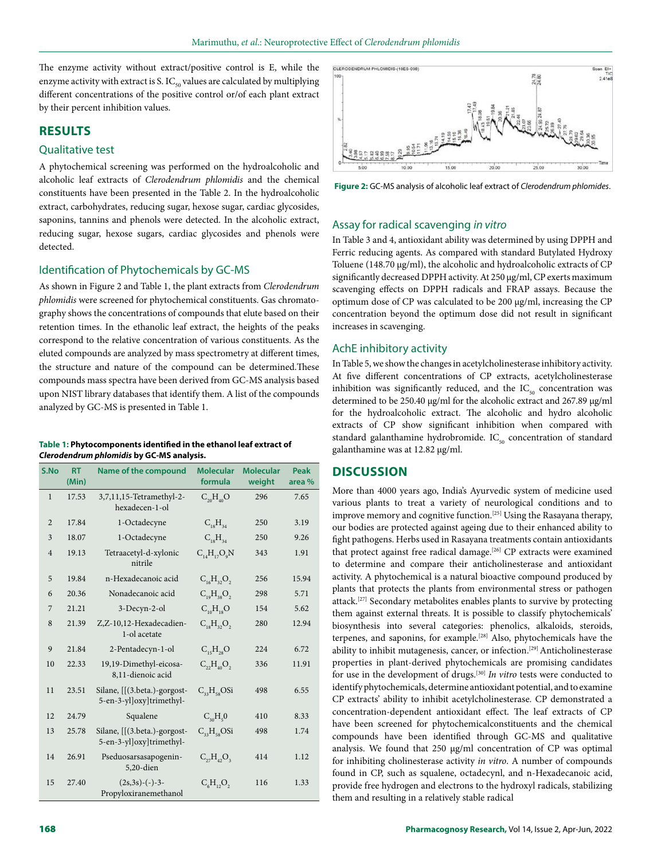CLERODENDRUM PHLOMIDIS-(19ES-036)

The enzyme activity without extract/positive control is E, while the enzyme activity with extract is S.  $IC_{50}$  values are calculated by multiplying different concentrations of the positive control or/of each plant extract by their percent inhibition values.

# **RESULTS**

# Qualitative test

A phytochemical screening was performed on the hydroalcoholic and alcoholic leaf extracts of *Clerodendrum phlomidis* and the chemical constituents have been presented in the Table 2. In the hydroalcoholic extract, carbohydrates, reducing sugar, hexose sugar, cardiac glycosides, saponins, tannins and phenols were detected. In the alcoholic extract, reducing sugar, hexose sugars, cardiac glycosides and phenols were detected.

# Identification of Phytochemicals by GC-MS

As shown in Figure 2 and Table 1, the plant extracts from *Clerodendrum phlomidis* were screened for phytochemical constituents. Gas chromatography shows the concentrations of compounds that elute based on their retention times. In the ethanolic leaf extract, the heights of the peaks correspond to the relative concentration of various constituents. As the eluted compounds are analyzed by mass spectrometry at different times, the structure and nature of the compound can be determined.These compounds mass spectra have been derived from GC-MS analysis based upon NIST library databases that identify them. A list of the compounds analyzed by GC-MS is presented in Table 1.

#### **Table 1: Phytocomponents identified in the ethanol leaf extract of**  *Clerodendrum phlomidis* **by GC-MS analysis.**

| S.No           | <b>RT</b><br>(Min) | Name of the compound                                     | <b>Molecular</b><br>formula | <b>Molecular</b><br>weight | Peak<br>area % |  |
|----------------|--------------------|----------------------------------------------------------|-----------------------------|----------------------------|----------------|--|
| $\mathbf{1}$   | 17.53              | 3,7,11,15-Tetramethyl-2-<br>hexadecen-1-ol               | $C_{20}H_{40}O$             | 296                        | 7.65           |  |
| $\overline{2}$ | 17.84              | 1-Octadecyne                                             | $C_{18}H_{34}$              | 250                        | 3.19           |  |
| 3              | 18.07              | 1-Octadecyne                                             | $C_{10}H_{24}$              | 250                        | 9.26           |  |
| $\overline{4}$ | 19.13              | Tetraacetyl-d-xylonic<br>nitrile                         | $C_{14}H_{17}O_9N$          | 343                        | 1.91           |  |
| 5              | 19.84              | n-Hexadecanoic acid                                      | $C_{16}H_{32}O_2$           | 256                        | 15.94          |  |
| 6              | 20.36              | Nonadecanoic acid                                        | $C_{19}H_{38}O_2$           | 298                        | 5.71           |  |
| 7              | 21.21              | 3-Decyn-2-ol                                             | $C_{10}H_{18}O$             | 154                        | 5.62           |  |
| 8              | 21.39              | Z,Z-10,12-Hexadecadien-<br>1-ol acetate                  | $C_{18}H_{32}O_2$           | 280                        | 12.94          |  |
| 9              | 21.84              | 2-Pentadecyn-1-ol                                        | $C_{15}H_{28}O$             | 224                        | 6.72           |  |
| 10             | 22.33              | 19,19-Dimethyl-eicosa-<br>8,11-dienoic acid              | $C_{22}H_{40}O_2$           | 336                        | 11.91          |  |
| 11             | 23.51              | Silane, [[(3.beta.)-gorgost-<br>5-en-3-yl]oxy]trimethyl- | $C_{22}H_{12}OSi$           | 498                        | 6.55           |  |
| 12             | 24.79              | Squalene                                                 | $C_{30}H_{5}0$              | 410                        | 8.33           |  |
| 13             | 25.78              | Silane, [[(3.beta.)-gorgost-<br>5-en-3-yl]oxy]trimethyl- | $C_{33}H_{58}OSi$           | 498                        | 1.74           |  |
| 14             | 26.91              | Pseduosarsasapogenin-<br>5,20-dien                       | $C_{22}H_{42}O_3$           | 414                        | 1.12           |  |
| 15             | 27.40              | $(2s,3s)-(-)-3-$<br>Propyloxiranemethanol                | $C_6H_{12}O_2$              | 116                        | 1.33           |  |



**Figure 2:** GC-MS analysis of alcoholic leaf extract of *Clerodendrum phlomides*.

#### Assay for radical scavenging *in vitro*

In Table 3 and 4, antioxidant ability was determined by using DPPH and Ferric reducing agents. As compared with standard Butylated Hydroxy Toluene (148.70 µg/ml), the alcoholic and hydroalcoholic extracts of CP significantly decreased DPPH activity. At 250 µg/ml, CP exerts maximum scavenging effects on DPPH radicals and FRAP assays. Because the optimum dose of CP was calculated to be 200 µg/ml, increasing the CP concentration beyond the optimum dose did not result in significant increases in scavenging.

#### AchE inhibitory activity

In Table 5, we show the changes in acetylcholinesterase inhibitory activity. At five different concentrations of CP extracts, acetylcholinesterase inhibition was significantly reduced, and the  $IC_{50}$  concentration was determined to be 250.40 µg/ml for the alcoholic extract and 267.89 µg/ml for the hydroalcoholic extract. The alcoholic and hydro alcoholic extracts of CP show significant inhibition when compared with standard galanthamine hydrobromide.  $IC_{50}$  concentration of standard galanthamine was at 12.82 µg/ml.

# **DISCUSSION**

More than 4000 years ago, India's Ayurvedic system of medicine used various plants to treat a variety of neurological conditions and to improve memory and cognitive function.<sup>[25]</sup> Using the Rasayana therapy, our bodies are protected against ageing due to their enhanced ability to fight pathogens. Herbs used in Rasayana treatments contain antioxidants that protect against free radical damage.<sup>[26]</sup> CP extracts were examined to determine and compare their anticholinesterase and antioxidant activity. A phytochemical is a natural bioactive compound produced by plants that protects the plants from environmental stress or pathogen attack.[27] Secondary metabolites enables plants to survive by protecting them against external threats. It is possible to classify phytochemicals' biosynthesis into several categories: phenolics, alkaloids, steroids, terpenes, and saponins, for example.[28] Also, phytochemicals have the ability to inhibit mutagenesis, cancer, or infection.<sup>[29]</sup> Anticholinesterase properties in plant-derived phytochemicals are promising candidates for use in the development of drugs.[30] *In vitro* tests were conducted to identify phytochemicals, determine antioxidant potential, and to examine CP extracts' ability to inhibit acetylcholinesterase. CP demonstrated a concentration-dependent antioxidant effect. The leaf extracts of CP have been screened for phytochemicalconstituents and the chemical compounds have been identified through GC-MS and qualitative analysis. We found that 250 µg/ml concentration of CP was optimal for inhibiting cholinesterase activity *in vitro*. A number of compounds found in CP, such as squalene, octadecynl, and n-Hexadecanoic acid, provide free hydrogen and electrons to the hydroxyl radicals, stabilizing them and resulting in a relatively stable radical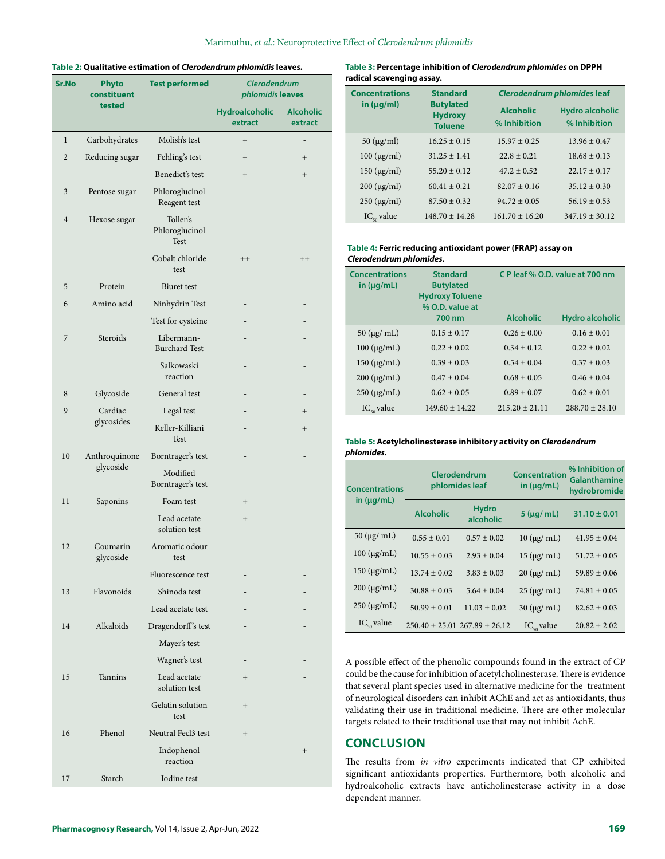# **Table 2: Qualitative estimation of** *Clerodendrum phlomidis* **leaves.**

| Sr.No          | Phyto<br>constituent       | <b>Test performed</b>              | <b>Clerodendrum</b><br>phlomidis leaves |                             |  |
|----------------|----------------------------|------------------------------------|-----------------------------------------|-----------------------------|--|
|                | tested                     |                                    | Hydroalcoholic<br>extract               | <b>Alcoholic</b><br>extract |  |
| $\mathbf{1}$   | Carbohydrates              | Molish's test                      | $+$                                     |                             |  |
| $\overline{2}$ | Reducing sugar             | Fehling's test                     | $+$                                     | $+$                         |  |
|                |                            | Benedict's test                    | $^{+}$                                  | $^{+}$                      |  |
| 3              | Pentose sugar              | Phloroglucinol<br>Reagent test     |                                         |                             |  |
| $\overline{4}$ | Hexose sugar               | Tollen's<br>Phloroglucinol<br>Test |                                         |                             |  |
|                |                            | Cobalt chloride<br>test            | $++$                                    | $++$                        |  |
| 5              | Protein                    | <b>Biuret</b> test                 |                                         |                             |  |
| 6              | Amino acid                 | Ninhydrin Test                     |                                         |                             |  |
|                |                            | Test for cysteine                  |                                         |                             |  |
| 7              | Steroids                   | Libermann-<br><b>Burchard Test</b> |                                         |                             |  |
|                |                            | Salkowaski<br>reaction             |                                         |                             |  |
| 8              | Glycoside                  | General test                       |                                         |                             |  |
| 9              | Cardiac                    | Legal test                         |                                         | $+$                         |  |
|                | glycosides                 | Keller-Killiani<br>Test            |                                         | $^{+}$                      |  |
| 10             | Anthroquinone<br>glycoside | Borntrager's test                  |                                         |                             |  |
|                |                            | Modified<br>Borntrager's test      |                                         |                             |  |
| 11             | Saponins                   | Foam test                          | $+$                                     |                             |  |
|                |                            | Lead acetate<br>solution test      | $^{+}$                                  |                             |  |
| 12             | Coumarin<br>glycoside      | Aromatic odour<br>test             |                                         |                             |  |
|                |                            | Fluorescence test                  |                                         |                             |  |
| 13             | Flavonoids                 | Shinoda test                       |                                         |                             |  |
|                |                            | Lead acetate test                  |                                         |                             |  |
| 14             | Alkaloids                  | Dragendorff's test                 |                                         |                             |  |
|                |                            | Mayer's test                       |                                         |                             |  |
|                |                            | Wagner's test                      |                                         |                             |  |
| 15             | Tannins                    | Lead acetate<br>solution test      | $+$                                     |                             |  |
|                |                            | Gelatin solution<br>test           | $^{+}$                                  |                             |  |
| 16             | Phenol                     | Neutral Fecl3 test                 | $+$                                     |                             |  |
|                |                            | Indophenol<br>reaction             |                                         | $^{+}$                      |  |
| 17             | Starch                     | Iodine test                        |                                         |                             |  |

**Table 3: Percentage inhibition of** *Clerodendrum phlomides* **on DPPH radical scavenging assay.**

| <b>Concentrations</b>            | <b>Standard</b><br><b>Butylated</b><br><b>Hydroxy</b><br><b>Toluene</b> | <b>Clerodendrum phlomides leaf</b> |                                        |  |
|----------------------------------|-------------------------------------------------------------------------|------------------------------------|----------------------------------------|--|
| in $(\mu g/ml)$                  |                                                                         | <b>Alcoholic</b><br>% Inhibition   | <b>Hydro alcoholic</b><br>% Inhibition |  |
| $50 \ (\mu g/ml)$                | $16.25 \pm 0.15$                                                        | $15.97 \pm 0.25$                   | $13.96 \pm 0.47$                       |  |
| $100 \, (\mu g/ml)$              | $31.25 \pm 1.41$                                                        | $22.8 \pm 0.21$                    | $18.68 \pm 0.13$                       |  |
| $150 \; (\mu g/ml)$              | $55.20 \pm 0.12$                                                        | $47.2 \pm 0.52$                    | $22.17 \pm 0.17$                       |  |
| $200 \, (\mu g/ml)$              | $60.41 \pm 0.21$                                                        | $82.07 + 0.16$                     | $35.12 \pm 0.30$                       |  |
| $250 \, (\mu g/ml)$              | $87.50 \pm 0.32$                                                        | $94.72 \pm 0.05$                   | $56.19 \pm 0.53$                       |  |
| $\mathrm{IC}_{\epsilon_0}$ value | $148.70 + 14.28$                                                        | $161.70 \pm 16.20$                 | $347.19 \pm 30.12$                     |  |

#### **Table 4: Ferric reducing antioxidant power (FRAP) assay on** *Clerodendrum phlomides***.**

| <b>Concentrations</b><br>in $(\mu q/mL)$ | <b>Standard</b><br><b>Butylated</b><br><b>Hydroxy Toluene</b><br>% O.D. value at<br>700 nm | C P leaf % O.D. value at 700 nm |                        |  |
|------------------------------------------|--------------------------------------------------------------------------------------------|---------------------------------|------------------------|--|
|                                          |                                                                                            | <b>Alcoholic</b>                | <b>Hydro alcoholic</b> |  |
| $50 \ (\mu g \ / \ \text{mL})$           | $0.15 \pm 0.17$                                                                            | $0.26 \pm 0.00$                 | $0.16 \pm 0.01$        |  |
| $100 \ (\mu g/mL)$                       | $0.22 \pm 0.02$                                                                            | $0.34 \pm 0.12$                 | $0.22 \pm 0.02$        |  |
| $150 \ (\mu g/mL)$                       | $0.39 \pm 0.03$                                                                            | $0.54 \pm 0.04$                 | $0.37 \pm 0.03$        |  |
| $200 \, (\mu g/mL)$                      | $0.47 \pm 0.04$                                                                            | $0.68 \pm 0.05$                 | $0.46 \pm 0.04$        |  |
| $250 \, (\mu g/mL)$                      | $0.62 \pm 0.05$                                                                            | $0.89 \pm 0.07$                 | $0.62 \pm 0.01$        |  |
| $IC_{\text{eq}}$ value                   | $149.60 + 14.22$                                                                           | $215.20 \pm 21.11$              | $288.70 \pm 28.10$     |  |

# **Table 5: Acetylcholinesterase inhibitory activity on** *Clerodendrum phlomides.*

| <b>Concentrations</b>  | Clerodendrum<br>phlomides leaf |                                       | <b>Concentration</b><br>in $(\mu q/mL)$ | % Inhibition of<br>Galanthamine<br>hydrobromide |
|------------------------|--------------------------------|---------------------------------------|-----------------------------------------|-------------------------------------------------|
| in $(\mu q/mL)$        | <b>Alcoholic</b>               | <b>Hydro</b><br>alcoholic             | $5$ ( $\mu$ g/ mL)                      | $31.10 \pm 0.01$                                |
| $50 \ (\mu g \mid mL)$ | $0.55 \pm 0.01$                | $0.57 \pm 0.02$                       | $10 \ (\mu g \mid mL)$                  | $41.95 \pm 0.04$                                |
| $100 \ (\mu g/mL)$     | $10.55 \pm 0.03$               | $2.93 \pm 0.04$                       | $15 \ (\mu g \mid mL)$                  | $51.72 \pm 0.05$                                |
| $150 \text{ (µg/mL)}$  | $13.74 \pm 0.02$               | $3.83 \pm 0.03$                       | $20 \left( \mu g / \text{mL} \right)$   | $59.89 \pm 0.06$                                |
| $200 \ (\mu g/mL)$     | $30.88 \pm 0.03$               | $5.64 \pm 0.04$                       | $25 \mu g$ mL)                          | $74.81 \pm 0.05$                                |
| $250 \, (\mu g/mL)$    | $50.99 \pm 0.01$               | $11.03 \pm 0.02$                      | $30 \left( \mu g / \text{mL} \right)$   | $82.62 \pm 0.03$                                |
| $IC_{50}$ value        |                                | $250.40 \pm 25.01$ $267.89 \pm 26.12$ | $IC_{\epsilon_0}$ value                 | $20.82 \pm 2.02$                                |

A possible effect of the phenolic compounds found in the extract of CP could be the cause for inhibition of acetylcholinesterase. There is evidence that several plant species used in alternative medicine for the treatment of neurological disorders can inhibit AChE and act as antioxidants, thus validating their use in traditional medicine. There are other molecular targets related to their traditional use that may not inhibit AchE.

# **CONCLUSION**

The results from *in vitro* experiments indicated that CP exhibited significant antioxidants properties. Furthermore, both alcoholic and hydroalcoholic extracts have anticholinesterase activity in a dose dependent manner.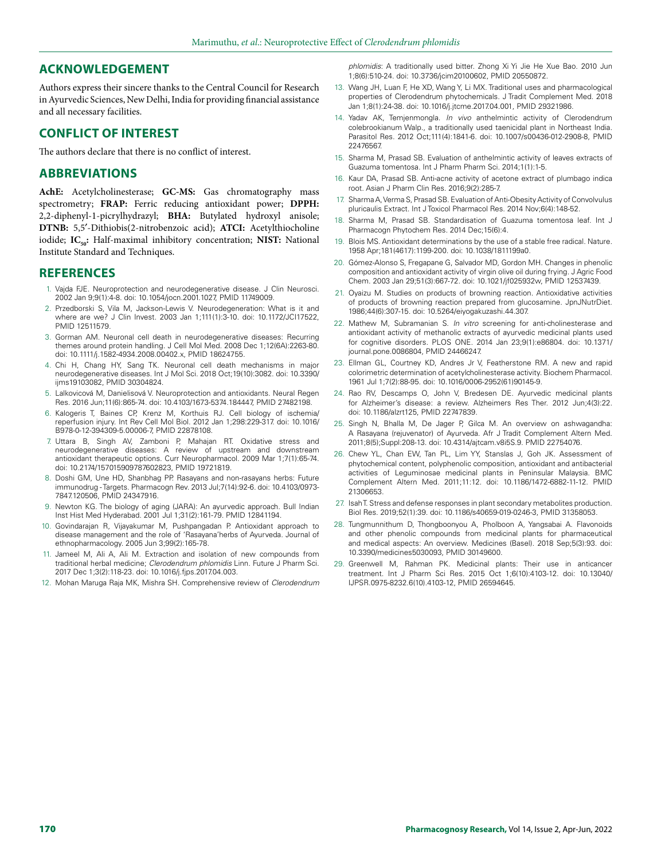# **ACKNOWLEDGEMENT**

Authors express their sincere thanks to the Central Council for Research in Ayurvedic Sciences, New Delhi, India for providing financial assistance and all necessary facilities.

# **CONFLICT OF INTEREST**

The authors declare that there is no conflict of interest.

# **ABBREVIATIONS**

**AchE:** Acetylcholinesterase; **GC-MS:** Gas chromatography mass spectrometry; **FRAP:** Ferric reducing antioxidant power; **DPPH:** 2,2-diphenyl-1-picrylhydrazyl; **BHA:** Butylated hydroxyl anisole; **DTNB:** 5,5′-Dithiobis(2-nitrobenzoic acid); **ATCI:** Acetylthiocholine iodide; IC<sub>50</sub>: Half-maximal inhibitory concentration; NIST: National Institute Standard and Techniques.

# **REFERENCES**

- 1. Vajda FJE. Neuroprotection and neurodegenerative disease. J Clin Neurosci. 2002 Jan 9;9(1):4-8. doi: 10.1054/jocn.2001.1027, PMID 11749009.
- 2. Przedborski S, Vila M, Jackson-Lewis V. Neurodegeneration: What is it and where are we? J Clin Invest. 2003 Jan 1;111(1):3-10. doi: 10.1172/JCI17522, PMID 12511579.
- 3. Gorman AM. Neuronal cell death in neurodegenerative diseases: Recurring themes around protein handling. J Cell Mol Med. 2008 Dec 1;12(6A):2263-80. doi: 10.1111/j.1582-4934.2008.00402.x, PMID 18624755.
- 4. Chi H, Chang HY, Sang TK. Neuronal cell death mechanisms in major neurodegenerative diseases. Int J Mol Sci. 2018 Oct;19(10):3082. doi: 10.3390/ ijms19103082, PMID 30304824.
- 5. Lalkovicová M, Danielisová V. Neuroprotection and antioxidants. Neural Regen Res. 2016 Jun;11(6):865-74. doi: 10.4103/1673-5374.184447, PMID 27482198.
- 6. Kalogeris T, Baines CP, Krenz M, Korthuis RJ. Cell biology of ischemia/ reperfusion injury. Int Rev Cell Mol Biol. 2012 Jan 1;298:229-317. doi: 10.1016/ B978-0-12-394309-5.00006-7, PMID 22878108.
- 7. Uttara B, Singh AV, Zamboni P, Mahajan RT. Oxidative stress and neurodegenerative diseases: A review of upstream and downstream antioxidant therapeutic options. Curr Neuropharmacol. 2009 Mar 1;7(1):65-74. doi: 10.2174/157015909787602823, PMID 19721819.
- 8. Doshi GM, Une HD, Shanbhag PP. Rasayans and non-rasayans herbs: Future immunodrug - Targets. Pharmacogn Rev. 2013 Jul;7(14):92-6. doi: 10.4103/0973- 7847.120506, PMID 24347916.
- 9. Newton KG. The biology of aging (JARA): An ayurvedic approach. Bull Indian Inst Hist Med Hyderabad. 2001 Jul 1;31(2):161-79. PMID 12841194.
- 10. Govindarajan R, Vijayakumar M, Pushpangadan P. Antioxidant approach to disease management and the role of 'Rasayana'herbs of Ayurveda. Journal of ethnopharmacology. 2005 Jun 3;99(2):165-78.
- 11. Jameel M, Ali A, Ali M. Extraction and isolation of new compounds from traditional herbal medicine; *Clerodendrum phlomidis* Linn. Future J Pharm Sci. 2017 Dec 1;3(2):118-23. doi: 10.1016/j.fjps.2017.04.003.
- 12. Mohan Maruga Raja MK, Mishra SH. Comprehensive review of *Clerodendrum*

*phlomidis*: A traditionally used bitter. Zhong Xi Yi Jie He Xue Bao. 2010 Jun 1;8(6):510-24. doi: 10.3736/jcim20100602, PMID 20550872.

- 13. Wang JH, Luan F, He XD, Wang Y, Li MX. Traditional uses and pharmacological properties of Clerodendrum phytochemicals. J Tradit Complement Med. 2018 Jan 1;8(1):24-38. doi: 10.1016/j.jtcme.2017.04.001, PMID 29321986.
- 14. Yadav AK, Temjenmongla. *In vivo* anthelmintic activity of Clerodendrum colebrookianum Walp., a traditionally used taenicidal plant in Northeast India. Parasitol Res. 2012 Oct;111(4):1841-6. doi: 10.1007/s00436-012-2908-8, PMID 22476567.
- 15. Sharma M, Prasad SB. Evaluation of anthelmintic activity of leaves extracts of Guazuma tomentosa. Int J Pharm Pharm Sci. 2014;1(1):1-5.
- 16. Kaur DA, Prasad SB. Anti-acne activity of acetone extract of plumbago indica root. Asian J Pharm Clin Res. 2016;9(2):285-7.
- 17. Sharma A, Verma S, Prasad SB. Evaluation of Anti-Obesity Activity of Convolvulus pluricaulis Extract. Int J Toxicol Pharmacol Res. 2014 Nov;6(4):148-52.
- 18. Sharma M, Prasad SB. Standardisation of Guazuma tomentosa leaf. Int J Pharmacogn Phytochem Res. 2014 Dec;15(6):4.
- 19. Blois MS. Antioxidant determinations by the use of a stable free radical. Nature. 1958 Apr;181(4617):1199-200. doi: 10.1038/1811199a0.
- 20. Gómez-Alonso S, Fregapane G, Salvador MD, Gordon MH. Changes in phenolic composition and antioxidant activity of virgin olive oil during frying. J Agric Food Chem. 2003 Jan 29;51(3):667-72. doi: 10.1021/jf025932w, PMID 12537439.
- 21. Oyaizu M. Studies on products of browning reaction. Antioxidative activities of products of browning reaction prepared from glucosamine. JpnJNutrDiet. 1986;44(6):307-15. doi: 10.5264/eiyogakuzashi.44.307.
- 22. Mathew M, Subramanian S. *In vitro* screening for anti-cholinesterase and antioxidant activity of methanolic extracts of ayurvedic medicinal plants used for cognitive disorders. PLOS ONE. 2014 Jan 23;9(1):e86804. doi: 10.1371/ journal.pone.0086804, PMID 24466247.
- 23. Ellman GL, Courtney KD, Andres Jr V, Featherstone RM. A new and rapid colorimetric determination of acetylcholinesterase activity. Biochem Pharmacol. 1961 Jul 1;7(2):88-95. doi: 10.1016/0006-2952(61)90145-9.
- 24. Rao RV, Descamps O, John V, Bredesen DE. Ayurvedic medicinal plants for Alzheimer's disease: a review. Alzheimers Res Ther. 2012 Jun;4(3):22. doi: 10.1186/alzrt125, PMID 22747839.
- 25. Singh N, Bhalla M, De Jager P, Gilca M. An overview on ashwagandha: A Rasayana (rejuvenator) of Ayurveda. Afr J Tradit Complement Altern Med. 2011;8(5);Suppl:208-13. doi: 10.4314/ajtcam.v8i5S.9. PMID 22754076.
- 26. Chew YL, Chan EW, Tan PL, Lim YY, Stanslas J, Goh JK. Assessment of phytochemical content, polyphenolic composition, antioxidant and antibacterial activities of Leguminosae medicinal plants in Peninsular Malaysia. BMC Complement Altern Med. 2011;11:12. doi: 10.1186/1472-6882-11-12. PMID 21306653.
- 27. Isah T. Stress and defense responses in plant secondary metabolites production. Biol Res. 2019;52(1):39. doi: 10.1186/s40659-019-0246-3, PMID 31358053.
- 28. Tungmunnithum D, Thongboonyou A, Pholboon A, Yangsabai A. Flavonoids and other phenolic compounds from medicinal plants for pharmaceutical and medical aspects: An overview. Medicines (Basel). 2018 Sep;5(3):93. doi: 10.3390/medicines5030093, PMID 30149600.
- 29. Greenwell M, Rahman PK. Medicinal plants: Their use in anticancer treatment. Int J Pharm Sci Res. 2015 Oct 1;6(10):4103-12. doi: 10.13040/ IJPSR.0975-8232.6(10).4103-12, PMID 26594645.